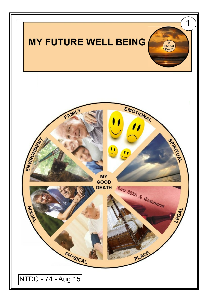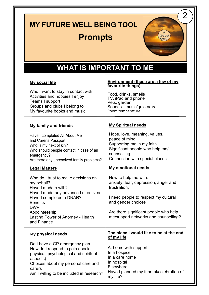# **MY FUTURE WELL BEING TOOL**

#### **Prompts**



### **WHAT IS IMPORTANT TO ME**

| <b>My social life</b><br>Who I want to stay in contact with<br>Activities and hobbies I enjoy<br>Teams I support<br>Groups and clubs I belong to<br>My favourite books and music                                                                                           | <b>Environment (these are a few of my</b><br>favourite things)<br>Food, drinks, smells<br>TV, iPad and phone<br>Pets, garden<br>Sounds - music/quietness<br>Room temperature                                                                             |
|----------------------------------------------------------------------------------------------------------------------------------------------------------------------------------------------------------------------------------------------------------------------------|----------------------------------------------------------------------------------------------------------------------------------------------------------------------------------------------------------------------------------------------------------|
| <b>My family and friends</b><br>Have I completed All About Me<br>and Carer's Passport<br>Who is my next of kin?<br>Who should people contact in case of an<br>emergency?<br>Are there any unresolved family problems?                                                      | <b>My Spiritual needs</b><br>Hope, love, meaning, values,<br>peace of mind.<br>Supporting me in my faith<br>Significant people who help me/<br>counselling<br>Connection with special places                                                             |
| <b>Legal Matters</b><br>Who do I trust to make decisions on<br>my behalf?<br>Have I made a will?<br>Have I made any advanced directives<br>Have I completed a DNAR?<br><b>Benefits</b><br><b>DWP</b><br>Appointeeship<br>Lasting Power of Attorney - Health<br>and Finance | <b>My emotional needs</b><br>How to help me with:<br>anxiety, fear, depression, anger and<br>frustration.<br>I need people to respect my cultural<br>and gender choices<br>Are there significant people who help<br>me/support networks and counselling? |
| <u>My physical needs</u><br>Do I have a GP emergency plan<br>How do I respond to pain (social,<br>physical, psychological and spiritual<br>aspects)<br>Choices about my personal care and<br>carers<br>Am I willing to be included in research?                            | The place I would like to be at the end<br>of my life<br>At home with support<br>In a hospice<br>In a care home<br>In hospital<br>Elsewhere<br>Have I planned my funeral/celebration of<br>my life?                                                      |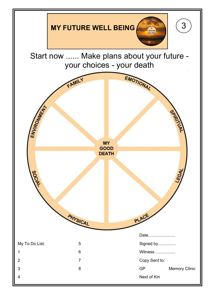